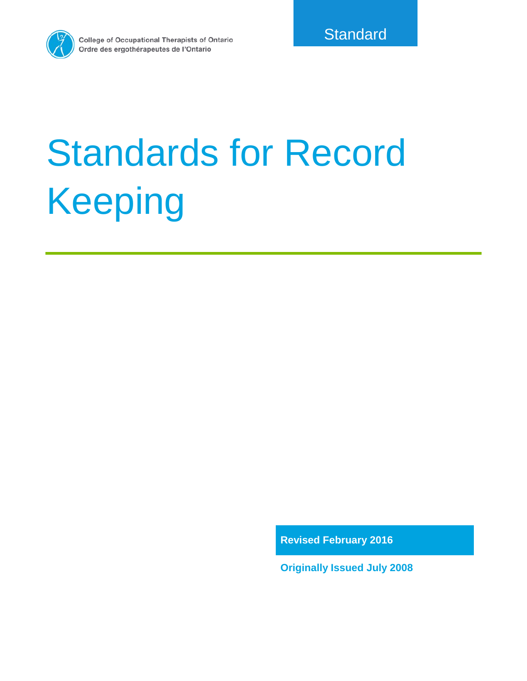

**College of Occupational Therapists of Ontario** Ordre des ergothérapeutes de l'Ontario

# Standards for Record Keeping

**Revised February 2016**

**Originally Issued July 2008**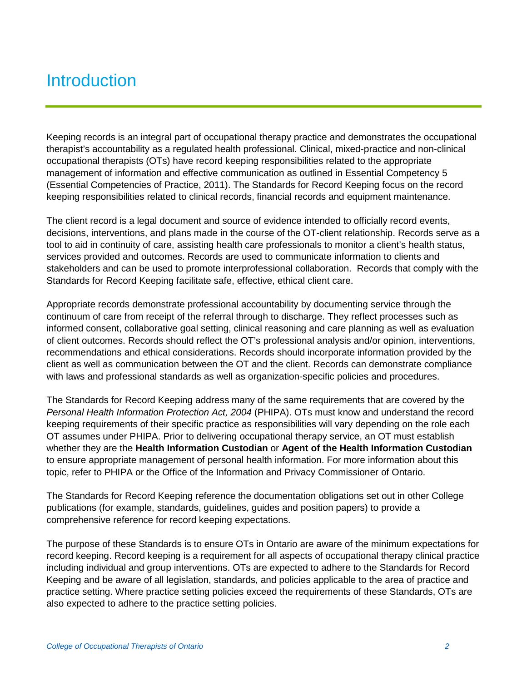## **Introduction**

Keeping records is an integral part of occupational therapy practice and demonstrates the occupational therapist's accountability as a regulated health professional. Clinical, mixed-practice and non-clinical occupational therapists (OTs) have record keeping responsibilities related to the appropriate management of information and effective communication as outlined in Essential Competency 5 (Essential Competencies of Practice, 2011). The Standards for Record Keeping focus on the record keeping responsibilities related to clinical records, financial records and equipment maintenance.

The client record is a legal document and source of evidence intended to officially record events, decisions, interventions, and plans made in the course of the OT-client relationship. Records serve as a tool to aid in continuity of care, assisting health care professionals to monitor a client's health status, services provided and outcomes. Records are used to communicate information to clients and stakeholders and can be used to promote interprofessional collaboration. Records that comply with the Standards for Record Keeping facilitate safe, effective, ethical client care.

Appropriate records demonstrate professional accountability by documenting service through the continuum of care from receipt of the referral through to discharge. They reflect processes such as informed consent, collaborative goal setting, clinical reasoning and care planning as well as evaluation of client outcomes. Records should reflect the OT's professional analysis and/or opinion, interventions, recommendations and ethical considerations. Records should incorporate information provided by the client as well as communication between the OT and the client. Records can demonstrate compliance with laws and professional standards as well as organization-specific policies and procedures.

The Standards for Record Keeping address many of the same requirements that are covered by the *Personal Health Information Protection Act, 2004* (PHIPA). OTs must know and understand the record keeping requirements of their specific practice as responsibilities will vary depending on the role each OT assumes under PHIPA. Prior to delivering occupational therapy service, an OT must establish whether they are the **Health Information Custodian** or **Agent of the Health Information Custodian** to ensure appropriate management of personal health information. For more information about this topic, refer to PHIPA or the Office of the Information and Privacy Commissioner of Ontario.

The Standards for Record Keeping reference the documentation obligations set out in other College publications (for example, standards, guidelines, guides and position papers) to provide a comprehensive reference for record keeping expectations.

The purpose of these Standards is to ensure OTs in Ontario are aware of the minimum expectations for record keeping. Record keeping is a requirement for all aspects of occupational therapy clinical practice including individual and group interventions. OTs are expected to adhere to the Standards for Record Keeping and be aware of all legislation, standards, and policies applicable to the area of practice and practice setting. Where practice setting policies exceed the requirements of these Standards, OTs are also expected to adhere to the practice setting policies.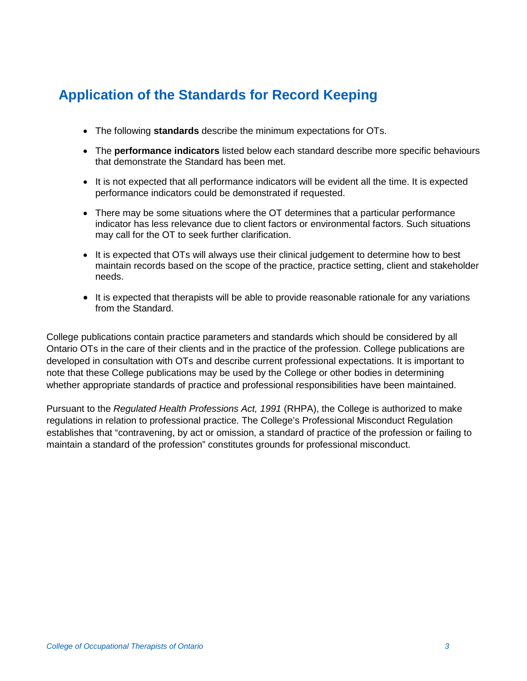## **Application of the Standards for Record Keeping**

- The following **standards** describe the minimum expectations for OTs.
- The **performance indicators** listed below each standard describe more specific behaviours that demonstrate the Standard has been met.
- It is not expected that all performance indicators will be evident all the time. It is expected performance indicators could be demonstrated if requested.
- There may be some situations where the OT determines that a particular performance indicator has less relevance due to client factors or environmental factors. Such situations may call for the OT to seek further clarification.
- It is expected that OTs will always use their clinical judgement to determine how to best maintain records based on the scope of the practice, practice setting, client and stakeholder needs.
- It is expected that therapists will be able to provide reasonable rationale for any variations from the Standard.

College publications contain practice parameters and standards which should be considered by all Ontario OTs in the care of their clients and in the practice of the profession. College publications are developed in consultation with OTs and describe current professional expectations. It is important to note that these College publications may be used by the College or other bodies in determining whether appropriate standards of practice and professional responsibilities have been maintained.

Pursuant to the *Regulated Health Professions Act, 1991* (RHPA), the College is authorized to make regulations in relation to professional practice. The College's Professional Misconduct Regulation establishes that "contravening, by act or omission, a standard of practice of the profession or failing to maintain a standard of the profession" constitutes grounds for professional misconduct.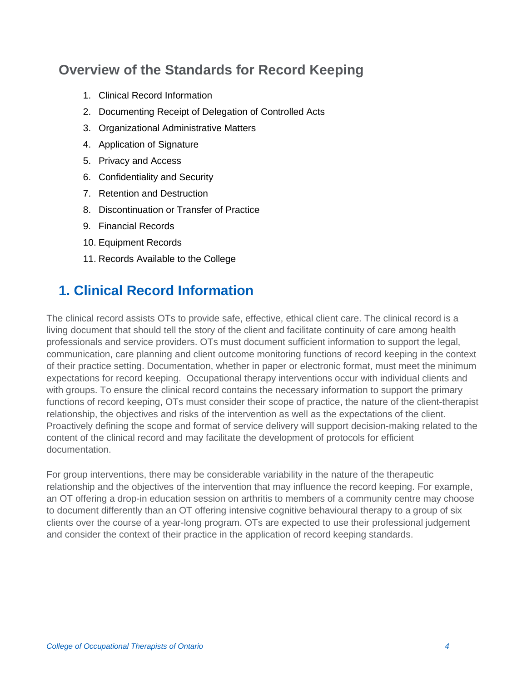## **Overview of the Standards for Record Keeping**

- 1. Clinical Record Information
- 2. Documenting Receipt of Delegation of Controlled Acts
- 3. Organizational Administrative Matters
- 4. Application of Signature
- 5. Privacy and Access
- 6. Confidentiality and Security
- 7. Retention and Destruction
- 8. Discontinuation or Transfer of Practice
- 9. Financial Records
- 10. Equipment Records
- 11. Records Available to the College

## **1. Clinical Record Information**

The clinical record assists OTs to provide safe, effective, ethical client care. The clinical record is a living document that should tell the story of the client and facilitate continuity of care among health professionals and service providers. OTs must document sufficient information to support the legal, communication, care planning and client outcome monitoring functions of record keeping in the context of their practice setting. Documentation, whether in paper or electronic format, must meet the minimum expectations for record keeping. Occupational therapy interventions occur with individual clients and with groups. To ensure the clinical record contains the necessary information to support the primary functions of record keeping, OTs must consider their scope of practice, the nature of the client-therapist relationship, the objectives and risks of the intervention as well as the expectations of the client. Proactively defining the scope and format of service delivery will support decision-making related to the content of the clinical record and may facilitate the development of protocols for efficient documentation.

For group interventions, there may be considerable variability in the nature of the therapeutic relationship and the objectives of the intervention that may influence the record keeping. For example, an OT offering a drop-in education session on arthritis to members of a community centre may choose to document differently than an OT offering intensive cognitive behavioural therapy to a group of six clients over the course of a year-long program. OTs are expected to use their professional judgement and consider the context of their practice in the application of record keeping standards.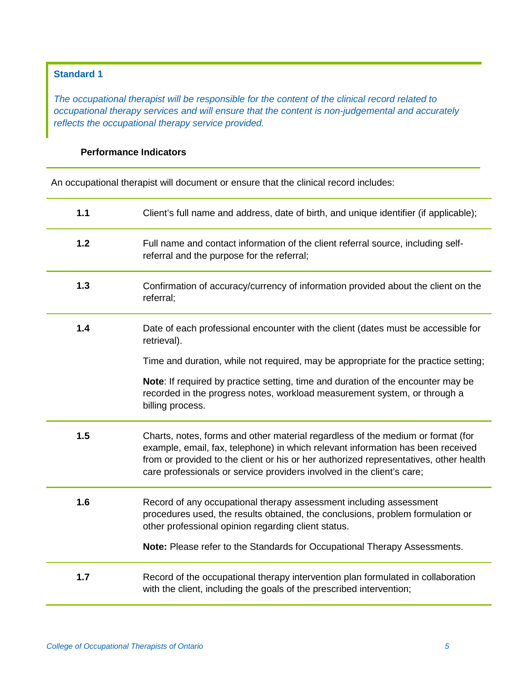#### **Standard 1**

*The occupational therapist will be responsible for the content of the clinical record related to occupational therapy services and will ensure that the content is non-judgemental and accurately reflects the occupational therapy service provided.*

#### **Performance Indicators**

An occupational therapist will document or ensure that the clinical record includes:

| 1.1 | Client's full name and address, date of birth, and unique identifier (if applicable);                                                                                                                                                                                                                                                 |
|-----|---------------------------------------------------------------------------------------------------------------------------------------------------------------------------------------------------------------------------------------------------------------------------------------------------------------------------------------|
| 1.2 | Full name and contact information of the client referral source, including self-<br>referral and the purpose for the referral;                                                                                                                                                                                                        |
| 1.3 | Confirmation of accuracy/currency of information provided about the client on the<br>referral;                                                                                                                                                                                                                                        |
| 1.4 | Date of each professional encounter with the client (dates must be accessible for<br>retrieval).                                                                                                                                                                                                                                      |
|     | Time and duration, while not required, may be appropriate for the practice setting;                                                                                                                                                                                                                                                   |
|     | Note: If required by practice setting, time and duration of the encounter may be<br>recorded in the progress notes, workload measurement system, or through a<br>billing process.                                                                                                                                                     |
| 1.5 | Charts, notes, forms and other material regardless of the medium or format (for<br>example, email, fax, telephone) in which relevant information has been received<br>from or provided to the client or his or her authorized representatives, other health<br>care professionals or service providers involved in the client's care; |
| 1.6 | Record of any occupational therapy assessment including assessment<br>procedures used, the results obtained, the conclusions, problem formulation or<br>other professional opinion regarding client status.                                                                                                                           |
|     | Note: Please refer to the Standards for Occupational Therapy Assessments.                                                                                                                                                                                                                                                             |
| 1.7 | Record of the occupational therapy intervention plan formulated in collaboration<br>with the client, including the goals of the prescribed intervention;                                                                                                                                                                              |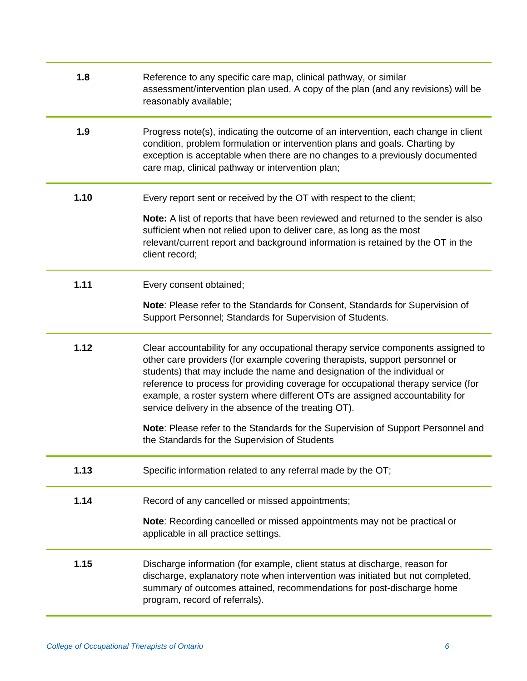| 1.8  | Reference to any specific care map, clinical pathway, or similar<br>assessment/intervention plan used. A copy of the plan (and any revisions) will be<br>reasonably available;                                                                                                                                                                                                                                                                                           |
|------|--------------------------------------------------------------------------------------------------------------------------------------------------------------------------------------------------------------------------------------------------------------------------------------------------------------------------------------------------------------------------------------------------------------------------------------------------------------------------|
| 1.9  | Progress note(s), indicating the outcome of an intervention, each change in client<br>condition, problem formulation or intervention plans and goals. Charting by<br>exception is acceptable when there are no changes to a previously documented<br>care map, clinical pathway or intervention plan;                                                                                                                                                                    |
| 1.10 | Every report sent or received by the OT with respect to the client;                                                                                                                                                                                                                                                                                                                                                                                                      |
|      | Note: A list of reports that have been reviewed and returned to the sender is also<br>sufficient when not relied upon to deliver care, as long as the most<br>relevant/current report and background information is retained by the OT in the<br>client record;                                                                                                                                                                                                          |
| 1.11 | Every consent obtained;                                                                                                                                                                                                                                                                                                                                                                                                                                                  |
|      | Note: Please refer to the Standards for Consent, Standards for Supervision of<br>Support Personnel; Standards for Supervision of Students.                                                                                                                                                                                                                                                                                                                               |
| 1.12 | Clear accountability for any occupational therapy service components assigned to<br>other care providers (for example covering therapists, support personnel or<br>students) that may include the name and designation of the individual or<br>reference to process for providing coverage for occupational therapy service (for<br>example, a roster system where different OTs are assigned accountability for<br>service delivery in the absence of the treating OT). |
|      | Note: Please refer to the Standards for the Supervision of Support Personnel and<br>the Standards for the Supervision of Students                                                                                                                                                                                                                                                                                                                                        |
| 1.13 | Specific information related to any referral made by the OT;                                                                                                                                                                                                                                                                                                                                                                                                             |
| 1.14 | Record of any cancelled or missed appointments;                                                                                                                                                                                                                                                                                                                                                                                                                          |
|      | Note: Recording cancelled or missed appointments may not be practical or<br>applicable in all practice settings.                                                                                                                                                                                                                                                                                                                                                         |
| 1.15 | Discharge information (for example, client status at discharge, reason for<br>discharge, explanatory note when intervention was initiated but not completed,<br>summary of outcomes attained, recommendations for post-discharge home<br>program, record of referrals).                                                                                                                                                                                                  |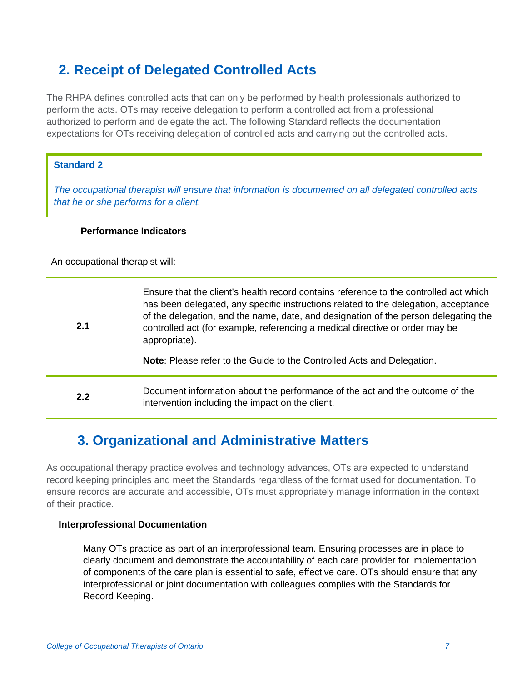## **2. Receipt of Delegated Controlled Acts**

The RHPA defines controlled acts that can only be performed by health professionals authorized to perform the acts. OTs may receive delegation to perform a controlled act from a professional authorized to perform and delegate the act. The following Standard reflects the documentation expectations for OTs receiving delegation of controlled acts and carrying out the controlled acts.

#### **Standard 2**

*The occupational therapist will ensure that information is documented on all delegated controlled acts that he or she performs for a client.*

#### **Performance Indicators**

An occupational therapist will:

| 2.1 | Ensure that the client's health record contains reference to the controlled act which<br>has been delegated, any specific instructions related to the delegation, acceptance<br>of the delegation, and the name, date, and designation of the person delegating the<br>controlled act (for example, referencing a medical directive or order may be<br>appropriate).<br>Note: Please refer to the Guide to the Controlled Acts and Delegation. |
|-----|------------------------------------------------------------------------------------------------------------------------------------------------------------------------------------------------------------------------------------------------------------------------------------------------------------------------------------------------------------------------------------------------------------------------------------------------|
| 2.2 | Document information about the performance of the act and the outcome of the<br>intervention including the impact on the client.                                                                                                                                                                                                                                                                                                               |

## **3. Organizational and Administrative Matters**

As occupational therapy practice evolves and technology advances, OTs are expected to understand record keeping principles and meet the Standards regardless of the format used for documentation. To ensure records are accurate and accessible, OTs must appropriately manage information in the context of their practice.

#### **Interprofessional Documentation**

Many OTs practice as part of an interprofessional team. Ensuring processes are in place to clearly document and demonstrate the accountability of each care provider for implementation of components of the care plan is essential to safe, effective care. OTs should ensure that any interprofessional or joint documentation with colleagues complies with the Standards for Record Keeping.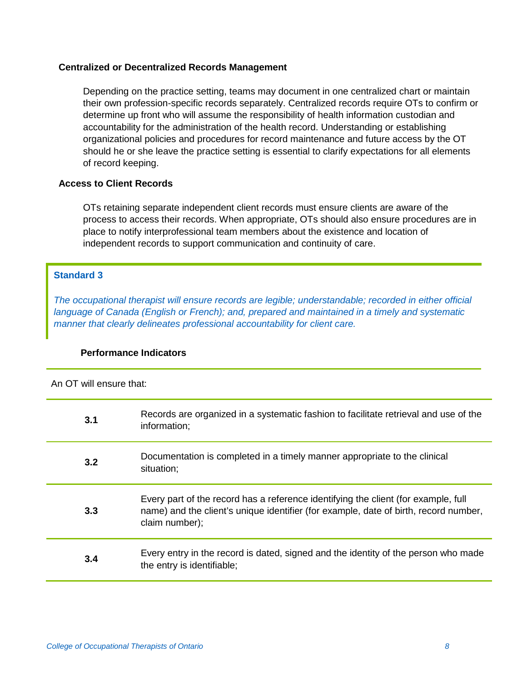#### **Centralized or Decentralized Records Management**

Depending on the practice setting, teams may document in one centralized chart or maintain their own profession-specific records separately. Centralized records require OTs to confirm or determine up front who will assume the responsibility of health information custodian and accountability for the administration of the health record. Understanding or establishing organizational policies and procedures for record maintenance and future access by the OT should he or she leave the practice setting is essential to clarify expectations for all elements of record keeping.

#### **Access to Client Records**

OTs retaining separate independent client records must ensure clients are aware of the process to access their records. When appropriate, OTs should also ensure procedures are in place to notify interprofessional team members about the existence and location of independent records to support communication and continuity of care.

#### **Standard 3**

*The occupational therapist will ensure records are legible; understandable; recorded in either official language of Canada (English or French); and, prepared and maintained in a timely and systematic manner that clearly delineates professional accountability for client care.*

#### **Performance Indicators**

An OT will ensure that:

| 3.1 | Records are organized in a systematic fashion to facilitate retrieval and use of the<br>information;                                                                                         |
|-----|----------------------------------------------------------------------------------------------------------------------------------------------------------------------------------------------|
| 3.2 | Documentation is completed in a timely manner appropriate to the clinical<br>situation;                                                                                                      |
| 3.3 | Every part of the record has a reference identifying the client (for example, full<br>name) and the client's unique identifier (for example, date of birth, record number,<br>claim number); |
| 3.4 | Every entry in the record is dated, signed and the identity of the person who made<br>the entry is identifiable;                                                                             |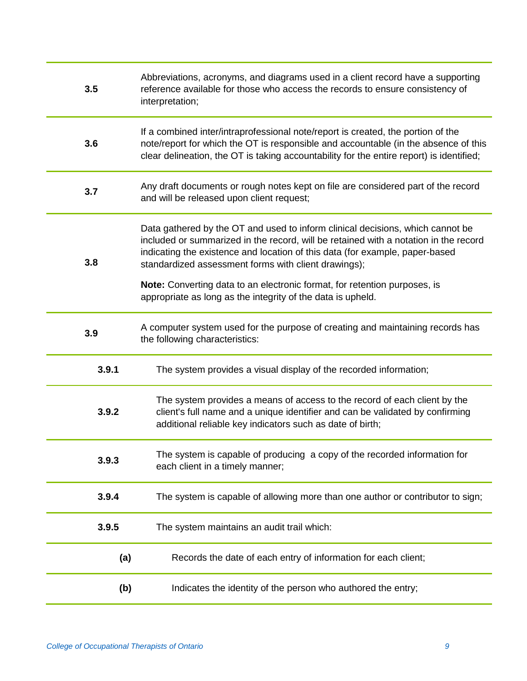| 3.5   | Abbreviations, acronyms, and diagrams used in a client record have a supporting<br>reference available for those who access the records to ensure consistency of<br>interpretation;                                                                                                                            |
|-------|----------------------------------------------------------------------------------------------------------------------------------------------------------------------------------------------------------------------------------------------------------------------------------------------------------------|
| 3.6   | If a combined inter/intraprofessional note/report is created, the portion of the<br>note/report for which the OT is responsible and accountable (in the absence of this<br>clear delineation, the OT is taking accountability for the entire report) is identified;                                            |
| 3.7   | Any draft documents or rough notes kept on file are considered part of the record<br>and will be released upon client request;                                                                                                                                                                                 |
| 3.8   | Data gathered by the OT and used to inform clinical decisions, which cannot be<br>included or summarized in the record, will be retained with a notation in the record<br>indicating the existence and location of this data (for example, paper-based<br>standardized assessment forms with client drawings); |
|       | Note: Converting data to an electronic format, for retention purposes, is<br>appropriate as long as the integrity of the data is upheld.                                                                                                                                                                       |
| 3.9   | A computer system used for the purpose of creating and maintaining records has<br>the following characteristics:                                                                                                                                                                                               |
| 3.9.1 | The system provides a visual display of the recorded information;                                                                                                                                                                                                                                              |
| 3.9.2 | The system provides a means of access to the record of each client by the<br>client's full name and a unique identifier and can be validated by confirming<br>additional reliable key indicators such as date of birth;                                                                                        |
| 3.9.3 | The system is capable of producing a copy of the recorded information for<br>each client in a timely manner;                                                                                                                                                                                                   |
| 3.9.4 | The system is capable of allowing more than one author or contributor to sign;                                                                                                                                                                                                                                 |
| 3.9.5 | The system maintains an audit trail which:                                                                                                                                                                                                                                                                     |
| (a)   | Records the date of each entry of information for each client;                                                                                                                                                                                                                                                 |
| (b)   | Indicates the identity of the person who authored the entry;                                                                                                                                                                                                                                                   |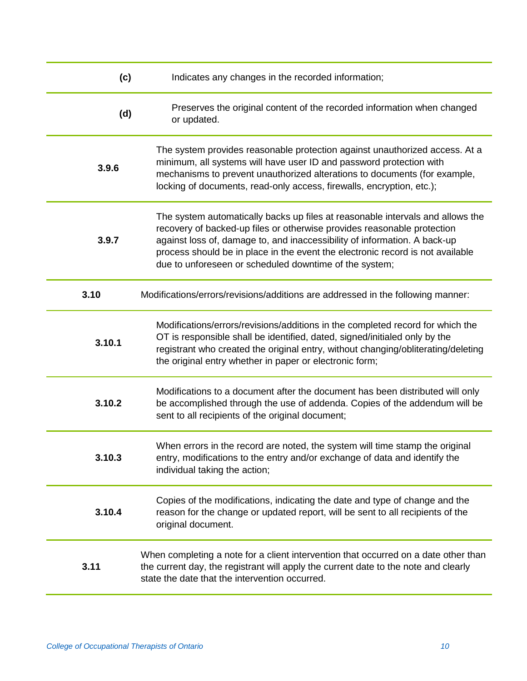| (c)    | Indicates any changes in the recorded information;                                                                                                                                                                                                                                                                                                                                 |
|--------|------------------------------------------------------------------------------------------------------------------------------------------------------------------------------------------------------------------------------------------------------------------------------------------------------------------------------------------------------------------------------------|
| (d)    | Preserves the original content of the recorded information when changed<br>or updated.                                                                                                                                                                                                                                                                                             |
| 3.9.6  | The system provides reasonable protection against unauthorized access. At a<br>minimum, all systems will have user ID and password protection with<br>mechanisms to prevent unauthorized alterations to documents (for example,<br>locking of documents, read-only access, firewalls, encryption, etc.);                                                                           |
| 3.9.7  | The system automatically backs up files at reasonable intervals and allows the<br>recovery of backed-up files or otherwise provides reasonable protection<br>against loss of, damage to, and inaccessibility of information. A back-up<br>process should be in place in the event the electronic record is not available<br>due to unforeseen or scheduled downtime of the system; |
| 3.10   | Modifications/errors/revisions/additions are addressed in the following manner:                                                                                                                                                                                                                                                                                                    |
| 3.10.1 | Modifications/errors/revisions/additions in the completed record for which the<br>OT is responsible shall be identified, dated, signed/initialed only by the<br>registrant who created the original entry, without changing/obliterating/deleting<br>the original entry whether in paper or electronic form;                                                                       |
| 3.10.2 | Modifications to a document after the document has been distributed will only<br>be accomplished through the use of addenda. Copies of the addendum will be<br>sent to all recipients of the original document;                                                                                                                                                                    |
| 3.10.3 | When errors in the record are noted, the system will time stamp the original<br>entry, modifications to the entry and/or exchange of data and identify the<br>individual taking the action;                                                                                                                                                                                        |
| 3.10.4 | Copies of the modifications, indicating the date and type of change and the<br>reason for the change or updated report, will be sent to all recipients of the<br>original document.                                                                                                                                                                                                |
| 3.11   | When completing a note for a client intervention that occurred on a date other than<br>the current day, the registrant will apply the current date to the note and clearly<br>state the date that the intervention occurred.                                                                                                                                                       |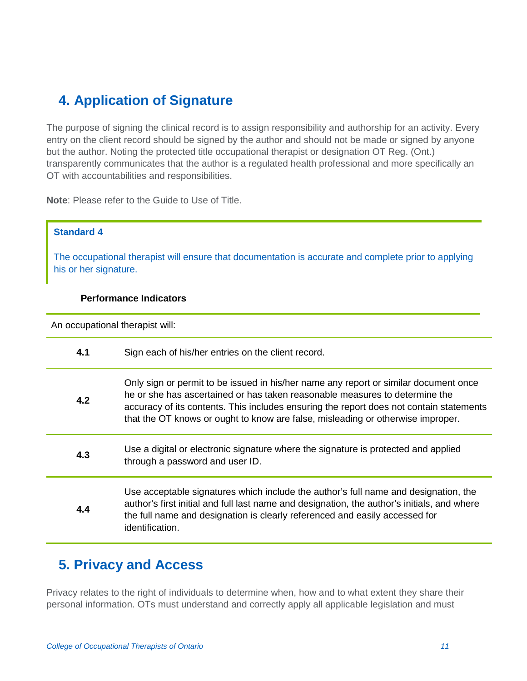## **4. Application of Signature**

The purpose of signing the clinical record is to assign responsibility and authorship for an activity. Every entry on the client record should be signed by the author and should not be made or signed by anyone but the author. Noting the protected title occupational therapist or designation OT Reg. (Ont.) transparently communicates that the author is a regulated health professional and more specifically an OT with accountabilities and responsibilities.

**Note**: Please refer to the Guide to Use of Title.

#### **Standard 4**

The occupational therapist will ensure that documentation is accurate and complete prior to applying his or her signature.

#### **Performance Indicators**

An occupational therapist will:

| 4.1 | Sign each of his/her entries on the client record.                                                                                                                                                                                                                                                                                                |
|-----|---------------------------------------------------------------------------------------------------------------------------------------------------------------------------------------------------------------------------------------------------------------------------------------------------------------------------------------------------|
| 4.2 | Only sign or permit to be issued in his/her name any report or similar document once<br>he or she has ascertained or has taken reasonable measures to determine the<br>accuracy of its contents. This includes ensuring the report does not contain statements<br>that the OT knows or ought to know are false, misleading or otherwise improper. |
| 4.3 | Use a digital or electronic signature where the signature is protected and applied<br>through a password and user ID.                                                                                                                                                                                                                             |
| 4.4 | Use acceptable signatures which include the author's full name and designation, the<br>author's first initial and full last name and designation, the author's initials, and where<br>the full name and designation is clearly referenced and easily accessed for<br>identification.                                                              |

### **5. Privacy and Access**

Privacy relates to the right of individuals to determine when, how and to what extent they share their personal information. OTs must understand and correctly apply all applicable legislation and must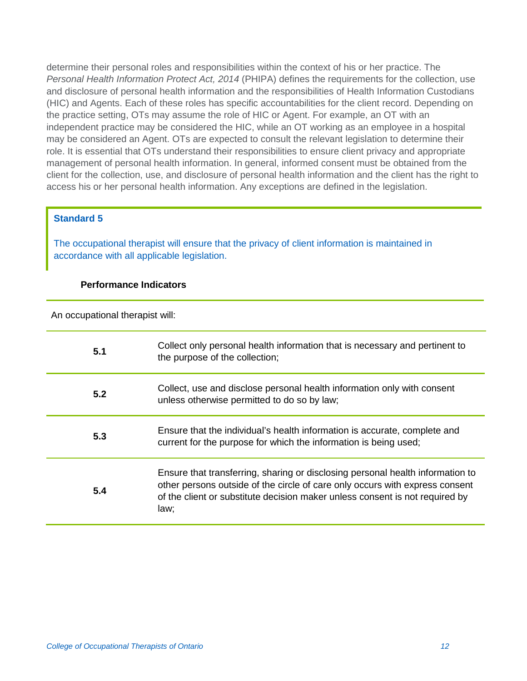determine their personal roles and responsibilities within the context of his or her practice. The *Personal Health Information Protect Act, 2014* (PHIPA) defines the requirements for the collection, use and disclosure of personal health information and the responsibilities of Health Information Custodians (HIC) and Agents. Each of these roles has specific accountabilities for the client record. Depending on the practice setting, OTs may assume the role of HIC or Agent. For example, an OT with an independent practice may be considered the HIC, while an OT working as an employee in a hospital may be considered an Agent. OTs are expected to consult the relevant legislation to determine their role. It is essential that OTs understand their responsibilities to ensure client privacy and appropriate management of personal health information. In general, informed consent must be obtained from the client for the collection, use, and disclosure of personal health information and the client has the right to access his or her personal health information. Any exceptions are defined in the legislation.

#### **Standard 5**

The occupational therapist will ensure that the privacy of client information is maintained in accordance with all applicable legislation.

#### **Performance Indicators**

| 5.1 | Collect only personal health information that is necessary and pertinent to<br>the purpose of the collection;                                                                                                                                          |
|-----|--------------------------------------------------------------------------------------------------------------------------------------------------------------------------------------------------------------------------------------------------------|
| 5.2 | Collect, use and disclose personal health information only with consent<br>unless otherwise permitted to do so by law;                                                                                                                                 |
| 5.3 | Ensure that the individual's health information is accurate, complete and<br>current for the purpose for which the information is being used;                                                                                                          |
| 5.4 | Ensure that transferring, sharing or disclosing personal health information to<br>other persons outside of the circle of care only occurs with express consent<br>of the client or substitute decision maker unless consent is not required by<br>law: |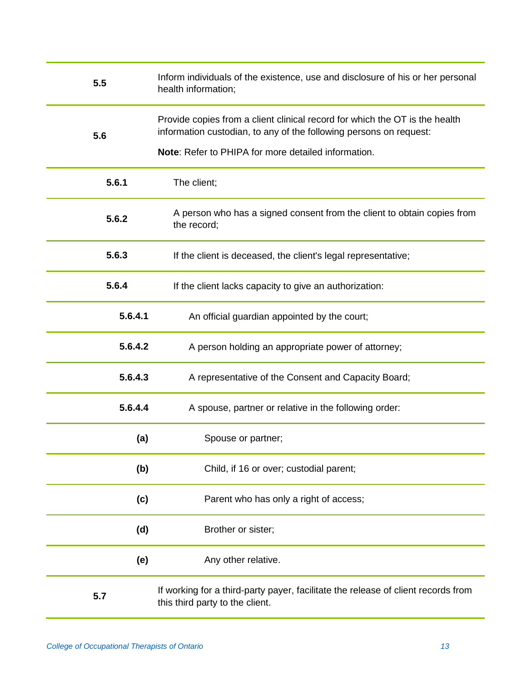| 5.5     | Inform individuals of the existence, use and disclosure of his or her personal<br>health information;                                                                                                    |
|---------|----------------------------------------------------------------------------------------------------------------------------------------------------------------------------------------------------------|
| 5.6     | Provide copies from a client clinical record for which the OT is the health<br>information custodian, to any of the following persons on request:<br>Note: Refer to PHIPA for more detailed information. |
| 5.6.1   | The client;                                                                                                                                                                                              |
| 5.6.2   | A person who has a signed consent from the client to obtain copies from<br>the record;                                                                                                                   |
| 5.6.3   | If the client is deceased, the client's legal representative;                                                                                                                                            |
| 5.6.4   | If the client lacks capacity to give an authorization:                                                                                                                                                   |
| 5.6.4.1 | An official guardian appointed by the court;                                                                                                                                                             |
| 5.6.4.2 | A person holding an appropriate power of attorney;                                                                                                                                                       |
| 5.6.4.3 | A representative of the Consent and Capacity Board;                                                                                                                                                      |
| 5.6.4.4 | A spouse, partner or relative in the following order:                                                                                                                                                    |
| (a)     | Spouse or partner;                                                                                                                                                                                       |
| (b)     | Child, if 16 or over; custodial parent;                                                                                                                                                                  |
| (c)     | Parent who has only a right of access;                                                                                                                                                                   |
| (d)     | Brother or sister;                                                                                                                                                                                       |
| (e)     | Any other relative.                                                                                                                                                                                      |
| 5.7     | If working for a third-party payer, facilitate the release of client records from<br>this third party to the client.                                                                                     |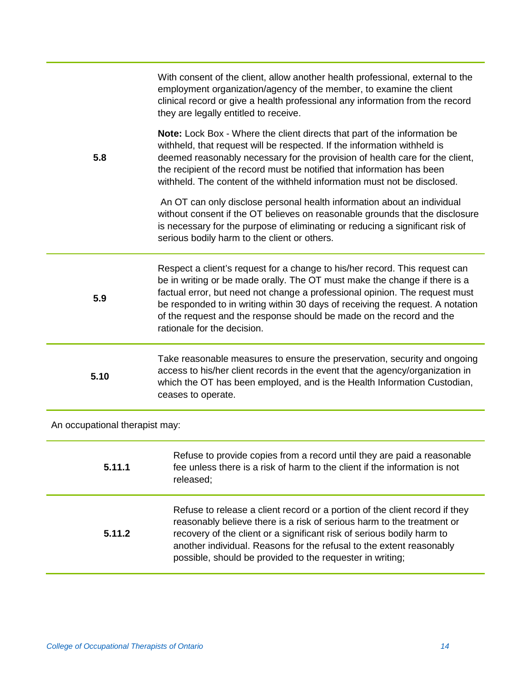|                                | With consent of the client, allow another health professional, external to the<br>employment organization/agency of the member, to examine the client<br>clinical record or give a health professional any information from the record<br>they are legally entitled to receive.                                                                                                                                                   |  |
|--------------------------------|-----------------------------------------------------------------------------------------------------------------------------------------------------------------------------------------------------------------------------------------------------------------------------------------------------------------------------------------------------------------------------------------------------------------------------------|--|
| 5.8                            | Note: Lock Box - Where the client directs that part of the information be<br>withheld, that request will be respected. If the information withheld is<br>deemed reasonably necessary for the provision of health care for the client,<br>the recipient of the record must be notified that information has been<br>withheld. The content of the withheld information must not be disclosed.                                       |  |
|                                | An OT can only disclose personal health information about an individual<br>without consent if the OT believes on reasonable grounds that the disclosure<br>is necessary for the purpose of eliminating or reducing a significant risk of<br>serious bodily harm to the client or others.                                                                                                                                          |  |
| 5.9                            | Respect a client's request for a change to his/her record. This request can<br>be in writing or be made orally. The OT must make the change if there is a<br>factual error, but need not change a professional opinion. The request must<br>be responded to in writing within 30 days of receiving the request. A notation<br>of the request and the response should be made on the record and the<br>rationale for the decision. |  |
| 5.10                           | Take reasonable measures to ensure the preservation, security and ongoing<br>access to his/her client records in the event that the agency/organization in<br>which the OT has been employed, and is the Health Information Custodian,<br>ceases to operate.                                                                                                                                                                      |  |
| An occupational therapist may: |                                                                                                                                                                                                                                                                                                                                                                                                                                   |  |
| 5.11.1                         | Refuse to provide copies from a record until they are paid a reasonable<br>fee unless there is a risk of harm to the client if the information is not<br>released;                                                                                                                                                                                                                                                                |  |
| 5.11.2                         | Refuse to release a client record or a portion of the client record if they<br>reasonably believe there is a risk of serious harm to the treatment or<br>recovery of the client or a significant risk of serious bodily harm to<br>another individual. Reasons for the refusal to the extent reasonably<br>possible, should be provided to the requester in writing;                                                              |  |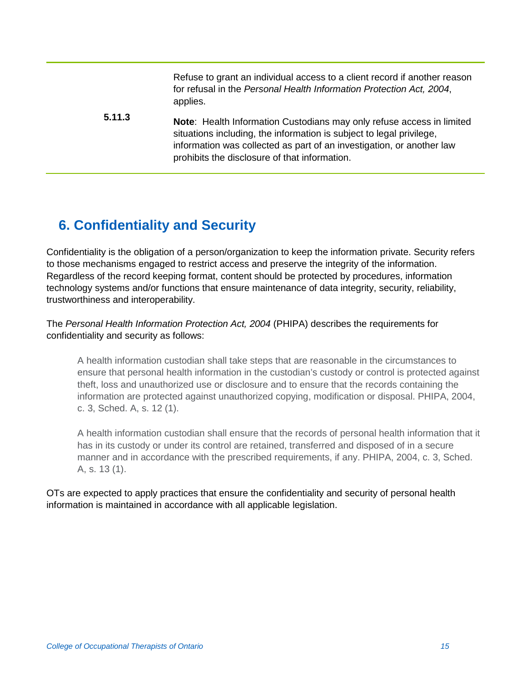Refuse to grant an individual access to a client record if another reason for refusal in the *Personal Health Information Protection Act, 2004*, applies.

**5.11.3 Note**: Health Information Custodians may only refuse access in limited situations including, the information is subject to legal privilege, information was collected as part of an investigation, or another law prohibits the disclosure of that information.

## **6. Confidentiality and Security**

Confidentiality is the obligation of a person/organization to keep the information private. Security refers to those mechanisms engaged to restrict access and preserve the integrity of the information. Regardless of the record keeping format, content should be protected by procedures, information technology systems and/or functions that ensure maintenance of data integrity, security, reliability, trustworthiness and interoperability.

The *Personal Health Information Protection Act, 2004* (PHIPA) describes the requirements for confidentiality and security as follows:

A health information custodian shall take steps that are reasonable in the circumstances to ensure that personal health information in the custodian's custody or control is protected against theft, loss and unauthorized use or disclosure and to ensure that the records containing the information are protected against unauthorized copying, modification or disposal. PHIPA, 2004, c. 3, Sched. A, s. 12 (1).

A health information custodian shall ensure that the records of personal health information that it has in its custody or under its control are retained, transferred and disposed of in a secure manner and in accordance with the prescribed requirements, if any. PHIPA, 2004, c. 3, Sched. A, s. 13 (1).

OTs are expected to apply practices that ensure the confidentiality and security of personal health information is maintained in accordance with all applicable legislation.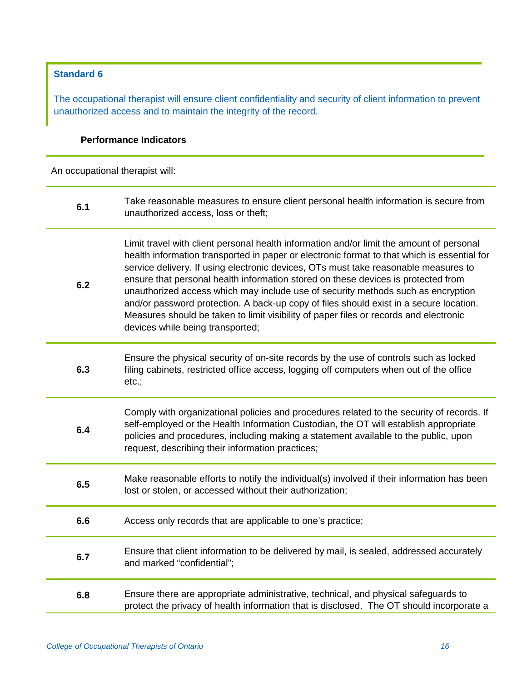#### **Standard 6**

The occupational therapist will ensure client confidentiality and security of client information to prevent unauthorized access and to maintain the integrity of the record.

#### **Performance Indicators**

| 6.1 | Take reasonable measures to ensure client personal health information is secure from<br>unauthorized access, loss or theft;                                                                                                                                                                                                                                                                                                                                                                                                                                                                                                                                                    |
|-----|--------------------------------------------------------------------------------------------------------------------------------------------------------------------------------------------------------------------------------------------------------------------------------------------------------------------------------------------------------------------------------------------------------------------------------------------------------------------------------------------------------------------------------------------------------------------------------------------------------------------------------------------------------------------------------|
| 6.2 | Limit travel with client personal health information and/or limit the amount of personal<br>health information transported in paper or electronic format to that which is essential for<br>service delivery. If using electronic devices, OTs must take reasonable measures to<br>ensure that personal health information stored on these devices is protected from<br>unauthorized access which may include use of security methods such as encryption<br>and/or password protection. A back-up copy of files should exist in a secure location.<br>Measures should be taken to limit visibility of paper files or records and electronic<br>devices while being transported; |
| 6.3 | Ensure the physical security of on-site records by the use of controls such as locked<br>filing cabinets, restricted office access, logging off computers when out of the office<br>etc.;                                                                                                                                                                                                                                                                                                                                                                                                                                                                                      |
| 6.4 | Comply with organizational policies and procedures related to the security of records. If<br>self-employed or the Health Information Custodian, the OT will establish appropriate<br>policies and procedures, including making a statement available to the public, upon<br>request, describing their information practices;                                                                                                                                                                                                                                                                                                                                                   |
| 6.5 | Make reasonable efforts to notify the individual(s) involved if their information has been<br>lost or stolen, or accessed without their authorization;                                                                                                                                                                                                                                                                                                                                                                                                                                                                                                                         |
| 6.6 | Access only records that are applicable to one's practice;                                                                                                                                                                                                                                                                                                                                                                                                                                                                                                                                                                                                                     |
| 6.7 | Ensure that client information to be delivered by mail, is sealed, addressed accurately<br>and marked "confidential";                                                                                                                                                                                                                                                                                                                                                                                                                                                                                                                                                          |
| 6.8 | Ensure there are appropriate administrative, technical, and physical safeguards to<br>protect the privacy of health information that is disclosed. The OT should incorporate a                                                                                                                                                                                                                                                                                                                                                                                                                                                                                                 |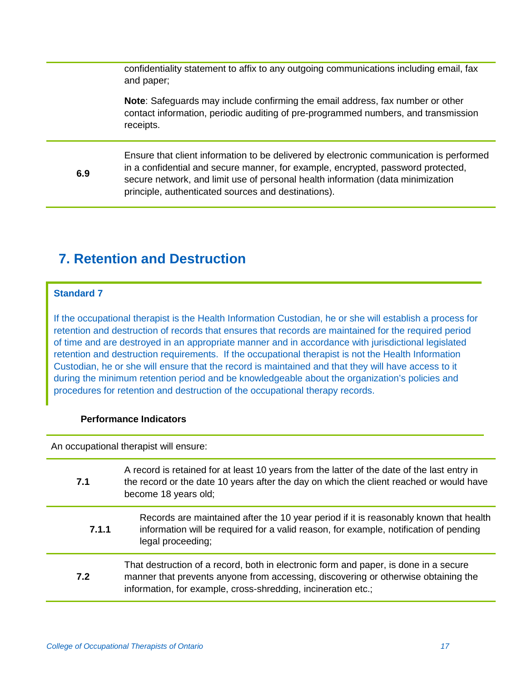confidentiality statement to affix to any outgoing communications including email, fax and paper;

**Note**: Safeguards may include confirming the email address, fax number or other contact information, periodic auditing of pre-programmed numbers, and transmission receipts.

**6.9** Ensure that client information to be delivered by electronic communication is performed in a confidential and secure manner, for example, encrypted, password protected, secure network, and limit use of personal health information (data minimization principle, authenticated sources and destinations).

## **7. Retention and Destruction**

#### **Standard 7**

If the occupational therapist is the Health Information Custodian, he or she will establish a process for retention and destruction of records that ensures that records are maintained for the required period of time and are destroyed in an appropriate manner and in accordance with jurisdictional legislated retention and destruction requirements. If the occupational therapist is not the Health Information Custodian, he or she will ensure that the record is maintained and that they will have access to it during the minimum retention period and be knowledgeable about the organization's policies and procedures for retention and destruction of the occupational therapy records.

#### **Performance Indicators**

An occupational therapist will ensure:

| 7.1   | A record is retained for at least 10 years from the latter of the date of the last entry in<br>the record or the date 10 years after the day on which the client reached or would have<br>become 18 years old;                              |
|-------|---------------------------------------------------------------------------------------------------------------------------------------------------------------------------------------------------------------------------------------------|
| 7.1.1 | Records are maintained after the 10 year period if it is reasonably known that health<br>information will be required for a valid reason, for example, notification of pending<br>legal proceeding;                                         |
| 7.2   | That destruction of a record, both in electronic form and paper, is done in a secure<br>manner that prevents anyone from accessing, discovering or otherwise obtaining the<br>information, for example, cross-shredding, incineration etc.; |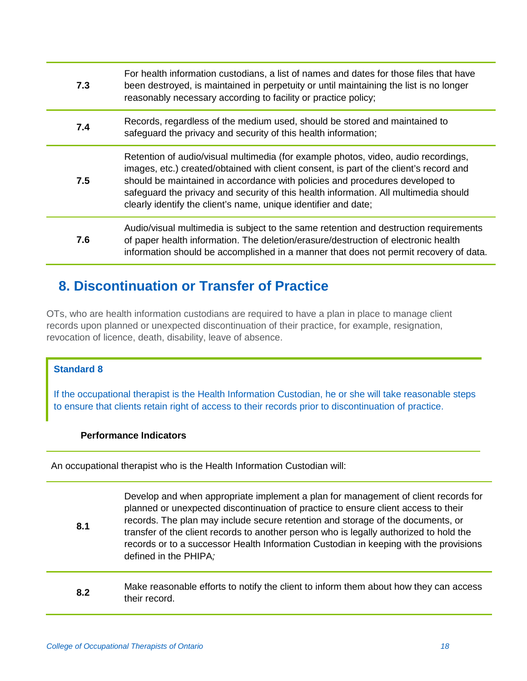| 7.3 | For health information custodians, a list of names and dates for those files that have<br>been destroyed, is maintained in perpetuity or until maintaining the list is no longer<br>reasonably necessary according to facility or practice policy;                                                                                                                                                                      |
|-----|-------------------------------------------------------------------------------------------------------------------------------------------------------------------------------------------------------------------------------------------------------------------------------------------------------------------------------------------------------------------------------------------------------------------------|
| 7.4 | Records, regardless of the medium used, should be stored and maintained to<br>safeguard the privacy and security of this health information;                                                                                                                                                                                                                                                                            |
| 7.5 | Retention of audio/visual multimedia (for example photos, video, audio recordings,<br>images, etc.) created/obtained with client consent, is part of the client's record and<br>should be maintained in accordance with policies and procedures developed to<br>safeguard the privacy and security of this health information. All multimedia should<br>clearly identify the client's name, unique identifier and date; |
| 7.6 | Audio/visual multimedia is subject to the same retention and destruction requirements<br>of paper health information. The deletion/erasure/destruction of electronic health<br>information should be accomplished in a manner that does not permit recovery of data.                                                                                                                                                    |

## **8. Discontinuation or Transfer of Practice**

OTs, who are health information custodians are required to have a plan in place to manage client records upon planned or unexpected discontinuation of their practice, for example, resignation, revocation of licence, death, disability, leave of absence.

#### **Standard 8**

If the occupational therapist is the Health Information Custodian, he or she will take reasonable steps to ensure that clients retain right of access to their records prior to discontinuation of practice.

#### **Performance Indicators**

An occupational therapist who is the Health Information Custodian will:

**8.1** Develop and when appropriate implement a plan for management of client records for planned or unexpected discontinuation of practice to ensure client access to their records. The plan may include secure retention and storage of the documents, or transfer of the client records to another person who is legally authorized to hold the records or to a successor Health Information Custodian in keeping with the provisions defined in the PHIPA*;*

**8.2** Make reasonable efforts to notify the client to inform them about how they can access their record.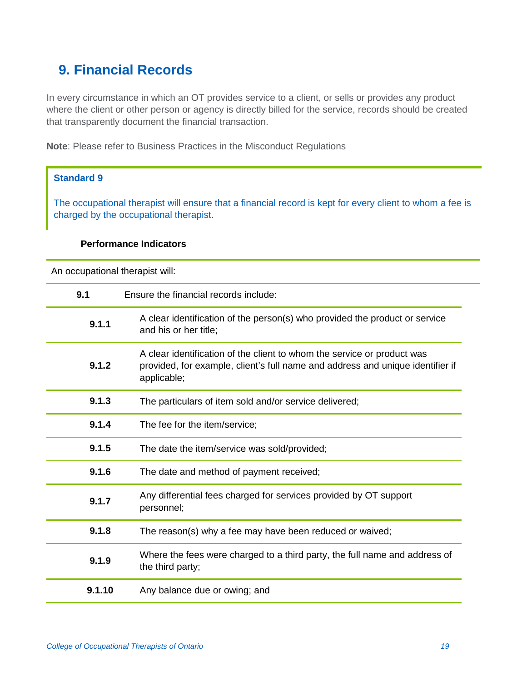## **9. Financial Records**

In every circumstance in which an OT provides service to a client, or sells or provides any product where the client or other person or agency is directly billed for the service, records should be created that transparently document the financial transaction.

**Note**: Please refer to Business Practices in the Misconduct Regulations

#### **Standard 9**

The occupational therapist will ensure that a financial record is kept for every client to whom a fee is charged by the occupational therapist.

#### **Performance Indicators**

| 9.1    | Ensure the financial records include:                                                                                                                                    |
|--------|--------------------------------------------------------------------------------------------------------------------------------------------------------------------------|
| 9.1.1  | A clear identification of the person(s) who provided the product or service<br>and his or her title;                                                                     |
| 9.1.2  | A clear identification of the client to whom the service or product was<br>provided, for example, client's full name and address and unique identifier if<br>applicable; |
| 9.1.3  | The particulars of item sold and/or service delivered;                                                                                                                   |
| 9.1.4  | The fee for the item/service;                                                                                                                                            |
| 9.1.5  | The date the item/service was sold/provided;                                                                                                                             |
| 9.1.6  | The date and method of payment received;                                                                                                                                 |
| 9.1.7  | Any differential fees charged for services provided by OT support<br>personnel;                                                                                          |
| 9.1.8  | The reason(s) why a fee may have been reduced or waived;                                                                                                                 |
| 9.1.9  | Where the fees were charged to a third party, the full name and address of<br>the third party;                                                                           |
| 9.1.10 | Any balance due or owing; and                                                                                                                                            |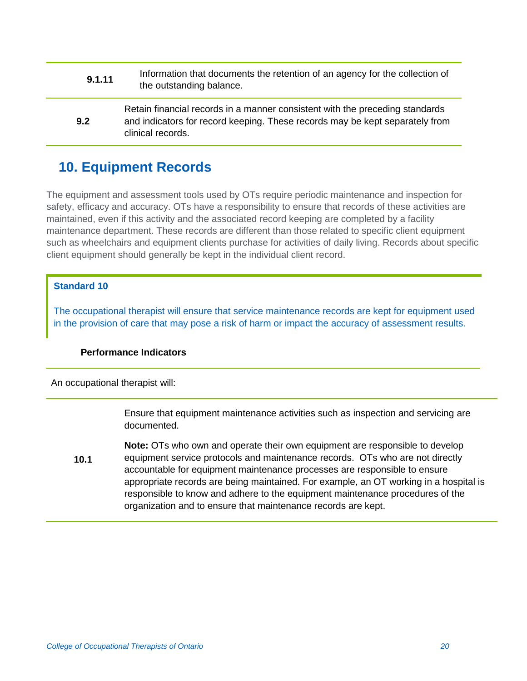- **9.1.11** Information that documents the retention of an agency for the collection of the outstanding balance.
- **9.2** Retain financial records in a manner consistent with the preceding standards and indicators for record keeping. These records may be kept separately from clinical records.

## **10. Equipment Records**

The equipment and assessment tools used by OTs require periodic maintenance and inspection for safety, efficacy and accuracy. OTs have a responsibility to ensure that records of these activities are maintained, even if this activity and the associated record keeping are completed by a facility maintenance department. These records are different than those related to specific client equipment such as wheelchairs and equipment clients purchase for activities of daily living. Records about specific client equipment should generally be kept in the individual client record.

#### **Standard 10**

The occupational therapist will ensure that service maintenance records are kept for equipment used in the provision of care that may pose a risk of harm or impact the accuracy of assessment results.

#### **Performance Indicators**

An occupational therapist will:

Ensure that equipment maintenance activities such as inspection and servicing are documented.

**10.1 Note:** OTs who own and operate their own equipment are responsible to develop equipment service protocols and maintenance records. OTs who are not directly accountable for equipment maintenance processes are responsible to ensure appropriate records are being maintained. For example, an OT working in a hospital is responsible to know and adhere to the equipment maintenance procedures of the organization and to ensure that maintenance records are kept.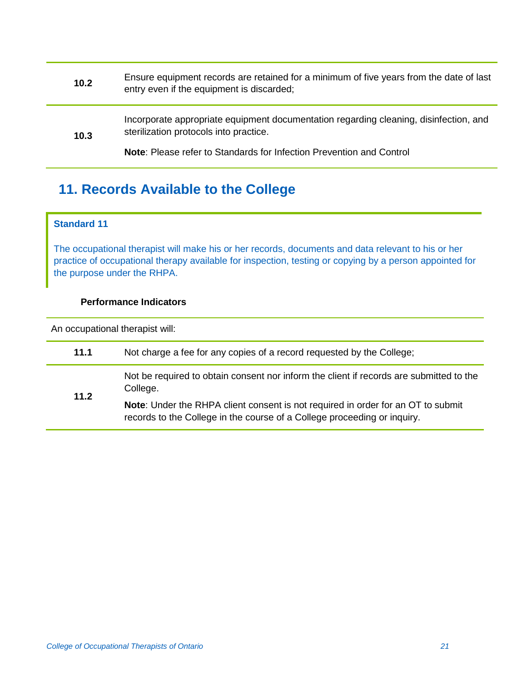| 10.2 | Ensure equipment records are retained for a minimum of five years from the date of last<br>entry even if the equipment is discarded; |
|------|--------------------------------------------------------------------------------------------------------------------------------------|
| 10.3 | Incorporate appropriate equipment documentation regarding cleaning, disinfection, and<br>sterilization protocols into practice.      |
|      | Note: Please refer to Standards for Infection Prevention and Control                                                                 |

## **11. Records Available to the College**

#### **Standard 11**

The occupational therapist will make his or her records, documents and data relevant to his or her practice of occupational therapy available for inspection, testing or copying by a person appointed for the purpose under the RHPA.

#### **Performance Indicators**

| 11.1 | Not charge a fee for any copies of a record requested by the College;                                                                                        |
|------|--------------------------------------------------------------------------------------------------------------------------------------------------------------|
| 11.2 | Not be required to obtain consent nor inform the client if records are submitted to the<br>College.                                                          |
|      | Note: Under the RHPA client consent is not required in order for an OT to submit<br>records to the College in the course of a College proceeding or inquiry. |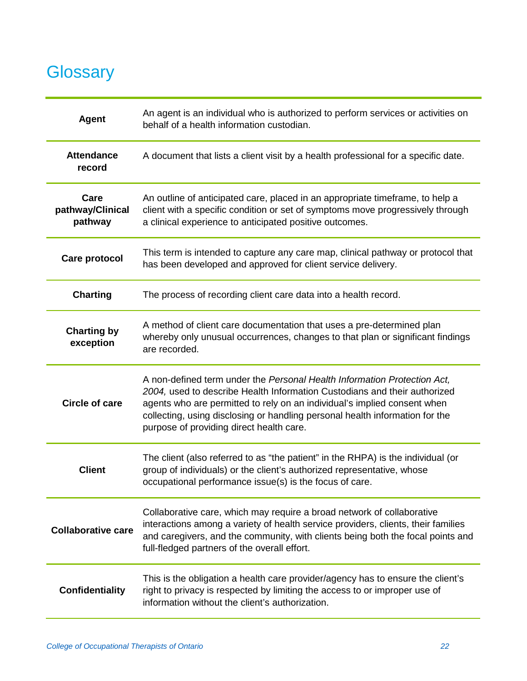## **Glossary**

| <b>Agent</b>                        | An agent is an individual who is authorized to perform services or activities on<br>behalf of a health information custodian.                                                                                                                                                                                                                                 |
|-------------------------------------|---------------------------------------------------------------------------------------------------------------------------------------------------------------------------------------------------------------------------------------------------------------------------------------------------------------------------------------------------------------|
| <b>Attendance</b><br>record         | A document that lists a client visit by a health professional for a specific date.                                                                                                                                                                                                                                                                            |
| Care<br>pathway/Clinical<br>pathway | An outline of anticipated care, placed in an appropriate timeframe, to help a<br>client with a specific condition or set of symptoms move progressively through<br>a clinical experience to anticipated positive outcomes.                                                                                                                                    |
| <b>Care protocol</b>                | This term is intended to capture any care map, clinical pathway or protocol that<br>has been developed and approved for client service delivery.                                                                                                                                                                                                              |
| <b>Charting</b>                     | The process of recording client care data into a health record.                                                                                                                                                                                                                                                                                               |
| <b>Charting by</b><br>exception     | A method of client care documentation that uses a pre-determined plan<br>whereby only unusual occurrences, changes to that plan or significant findings<br>are recorded.                                                                                                                                                                                      |
| <b>Circle of care</b>               | A non-defined term under the Personal Health Information Protection Act,<br>2004, used to describe Health Information Custodians and their authorized<br>agents who are permitted to rely on an individual's implied consent when<br>collecting, using disclosing or handling personal health information for the<br>purpose of providing direct health care. |
| <b>Client</b>                       | The client (also referred to as "the patient" in the RHPA) is the individual (or<br>group of individuals) or the client's authorized representative, whose<br>occupational performance issue(s) is the focus of care.                                                                                                                                         |
| <b>Collaborative care</b>           | Collaborative care, which may require a broad network of collaborative<br>interactions among a variety of health service providers, clients, their families<br>and caregivers, and the community, with clients being both the focal points and<br>full-fledged partners of the overall effort.                                                                |
| <b>Confidentiality</b>              | This is the obligation a health care provider/agency has to ensure the client's<br>right to privacy is respected by limiting the access to or improper use of<br>information without the client's authorization.                                                                                                                                              |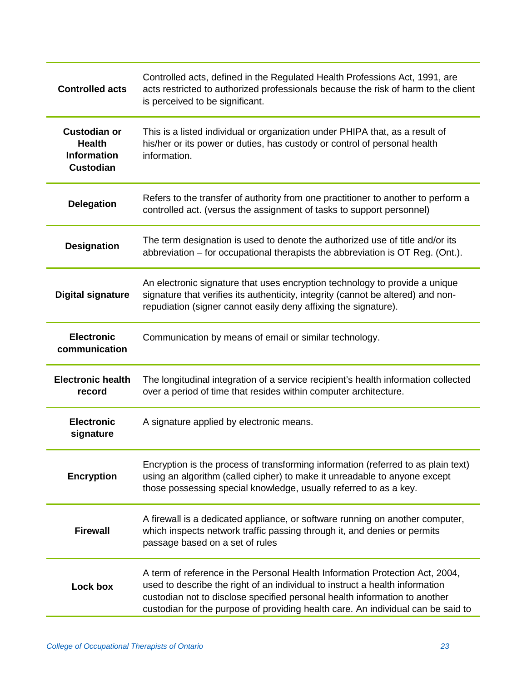| <b>Controlled acts</b>                                                         | Controlled acts, defined in the Regulated Health Professions Act, 1991, are<br>acts restricted to authorized professionals because the risk of harm to the client<br>is perceived to be significant.                                                                                                                           |
|--------------------------------------------------------------------------------|--------------------------------------------------------------------------------------------------------------------------------------------------------------------------------------------------------------------------------------------------------------------------------------------------------------------------------|
| <b>Custodian or</b><br><b>Health</b><br><b>Information</b><br><b>Custodian</b> | This is a listed individual or organization under PHIPA that, as a result of<br>his/her or its power or duties, has custody or control of personal health<br>information.                                                                                                                                                      |
| <b>Delegation</b>                                                              | Refers to the transfer of authority from one practitioner to another to perform a<br>controlled act. (versus the assignment of tasks to support personnel)                                                                                                                                                                     |
| <b>Designation</b>                                                             | The term designation is used to denote the authorized use of title and/or its<br>abbreviation – for occupational therapists the abbreviation is OT Reg. (Ont.).                                                                                                                                                                |
| <b>Digital signature</b>                                                       | An electronic signature that uses encryption technology to provide a unique<br>signature that verifies its authenticity, integrity (cannot be altered) and non-<br>repudiation (signer cannot easily deny affixing the signature).                                                                                             |
| <b>Electronic</b><br>communication                                             | Communication by means of email or similar technology.                                                                                                                                                                                                                                                                         |
| <b>Electronic health</b><br>record                                             | The longitudinal integration of a service recipient's health information collected<br>over a period of time that resides within computer architecture.                                                                                                                                                                         |
| <b>Electronic</b><br>signature                                                 | A signature applied by electronic means.                                                                                                                                                                                                                                                                                       |
| <b>Encryption</b>                                                              | Encryption is the process of transforming information (referred to as plain text)<br>using an algorithm (called cipher) to make it unreadable to anyone except<br>those possessing special knowledge, usually referred to as a key.                                                                                            |
| <b>Firewall</b>                                                                | A firewall is a dedicated appliance, or software running on another computer,<br>which inspects network traffic passing through it, and denies or permits<br>passage based on a set of rules                                                                                                                                   |
| Lock box                                                                       | A term of reference in the Personal Health Information Protection Act, 2004,<br>used to describe the right of an individual to instruct a health information<br>custodian not to disclose specified personal health information to another<br>custodian for the purpose of providing health care. An individual can be said to |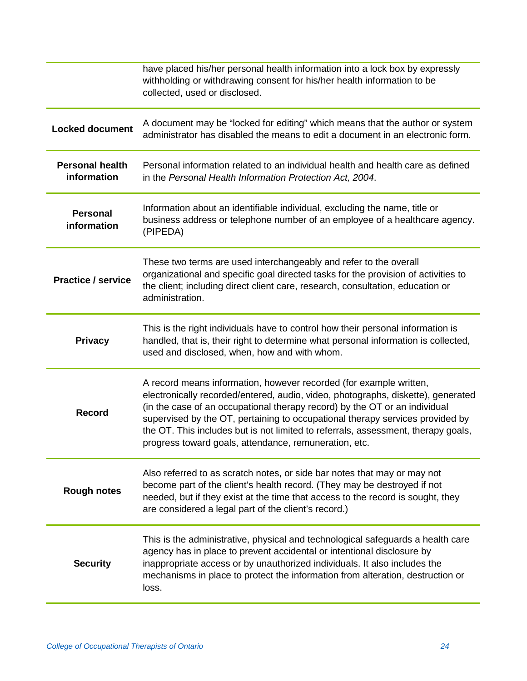|                                       | have placed his/her personal health information into a lock box by expressly<br>withholding or withdrawing consent for his/her health information to be<br>collected, used or disclosed.                                                                                                                                                                                                                                                                            |
|---------------------------------------|---------------------------------------------------------------------------------------------------------------------------------------------------------------------------------------------------------------------------------------------------------------------------------------------------------------------------------------------------------------------------------------------------------------------------------------------------------------------|
| <b>Locked document</b>                | A document may be "locked for editing" which means that the author or system<br>administrator has disabled the means to edit a document in an electronic form.                                                                                                                                                                                                                                                                                                      |
| <b>Personal health</b><br>information | Personal information related to an individual health and health care as defined<br>in the Personal Health Information Protection Act, 2004.                                                                                                                                                                                                                                                                                                                         |
| <b>Personal</b><br>information        | Information about an identifiable individual, excluding the name, title or<br>business address or telephone number of an employee of a healthcare agency.<br>(PIPEDA)                                                                                                                                                                                                                                                                                               |
| <b>Practice / service</b>             | These two terms are used interchangeably and refer to the overall<br>organizational and specific goal directed tasks for the provision of activities to<br>the client; including direct client care, research, consultation, education or<br>administration.                                                                                                                                                                                                        |
| <b>Privacy</b>                        | This is the right individuals have to control how their personal information is<br>handled, that is, their right to determine what personal information is collected,<br>used and disclosed, when, how and with whom.                                                                                                                                                                                                                                               |
| <b>Record</b>                         | A record means information, however recorded (for example written,<br>electronically recorded/entered, audio, video, photographs, diskette), generated<br>(in the case of an occupational therapy record) by the OT or an individual<br>supervised by the OT, pertaining to occupational therapy services provided by<br>the OT. This includes but is not limited to referrals, assessment, therapy goals,<br>progress toward goals, attendance, remuneration, etc. |
| <b>Rough notes</b>                    | Also referred to as scratch notes, or side bar notes that may or may not<br>become part of the client's health record. (They may be destroyed if not<br>needed, but if they exist at the time that access to the record is sought, they<br>are considered a legal part of the client's record.)                                                                                                                                                                     |
| <b>Security</b>                       | This is the administrative, physical and technological safeguards a health care<br>agency has in place to prevent accidental or intentional disclosure by<br>inappropriate access or by unauthorized individuals. It also includes the<br>mechanisms in place to protect the information from alteration, destruction or<br>loss.                                                                                                                                   |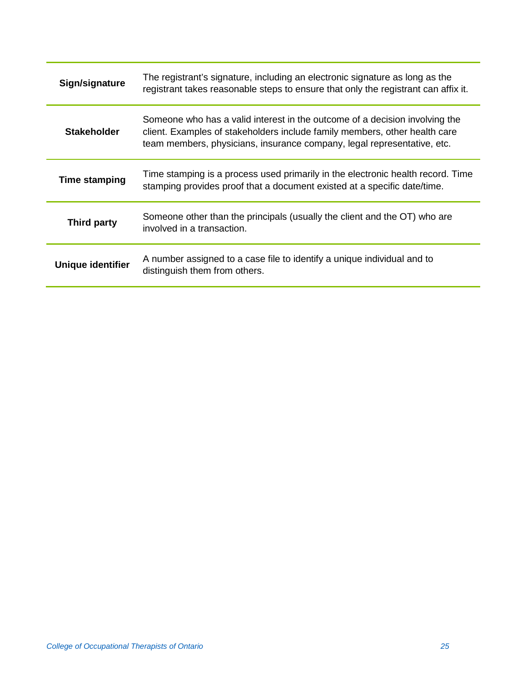| Sign/signature       | The registrant's signature, including an electronic signature as long as the<br>registrant takes reasonable steps to ensure that only the registrant can affix it.                                                                   |
|----------------------|--------------------------------------------------------------------------------------------------------------------------------------------------------------------------------------------------------------------------------------|
| <b>Stakeholder</b>   | Someone who has a valid interest in the outcome of a decision involving the<br>client. Examples of stakeholders include family members, other health care<br>team members, physicians, insurance company, legal representative, etc. |
| <b>Time stamping</b> | Time stamping is a process used primarily in the electronic health record. Time<br>stamping provides proof that a document existed at a specific date/time.                                                                          |
| Third party          | Someone other than the principals (usually the client and the OT) who are<br>involved in a transaction.                                                                                                                              |
| Unique identifier    | A number assigned to a case file to identify a unique individual and to<br>distinguish them from others.                                                                                                                             |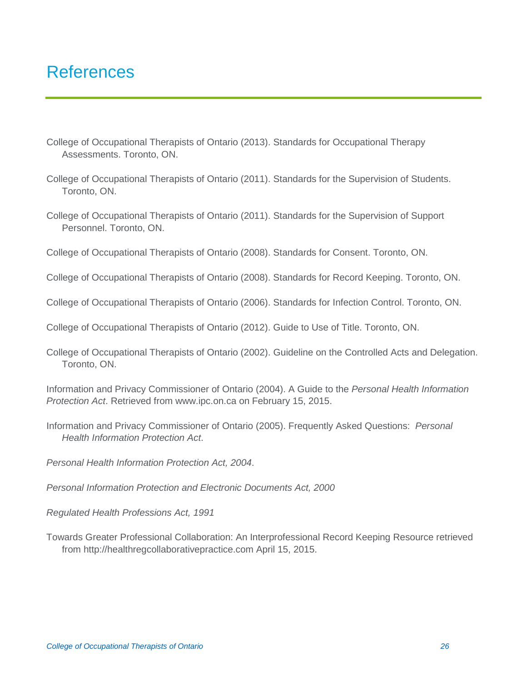## References

- College of Occupational Therapists of Ontario (2013). Standards for Occupational Therapy Assessments. Toronto, ON.
- College of Occupational Therapists of Ontario (2011). Standards for the Supervision of Students. Toronto, ON.
- College of Occupational Therapists of Ontario (2011). Standards for the Supervision of Support Personnel. Toronto, ON.
- College of Occupational Therapists of Ontario (2008). Standards for Consent. Toronto, ON.
- College of Occupational Therapists of Ontario (2008). Standards for Record Keeping. Toronto, ON.
- College of Occupational Therapists of Ontario (2006). Standards for Infection Control. Toronto, ON.
- College of Occupational Therapists of Ontario (2012). Guide to Use of Title. Toronto, ON.
- College of Occupational Therapists of Ontario (2002). Guideline on the Controlled Acts and Delegation. Toronto, ON.
- Information and Privacy Commissioner of Ontario (2004). A Guide to the *Personal Health Information Protection Act*. Retrieved from www.ipc.on.ca on February 15, 2015.
- Information and Privacy Commissioner of Ontario (2005). Frequently Asked Questions: *Personal Health Information Protection Act*.
- *Personal Health Information Protection Act, 2004*.
- *Personal Information Protection and Electronic Documents Act, 2000*
- *Regulated Health Professions Act, 1991*
- Towards Greater Professional Collaboration: An Interprofessional Record Keeping Resource retrieved from http://healthregcollaborativepractice.com April 15, 2015.